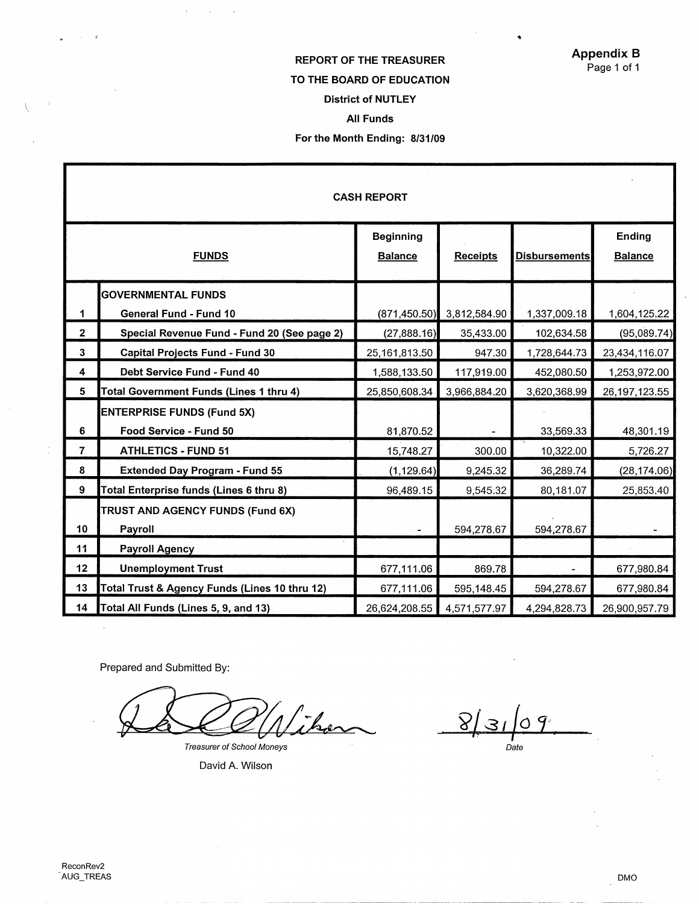$\bullet$ 

# REPORT OF THE TREASURER TO THE **BOARD** OF EDUCATION District of NUTLEY All Funds For the Month Ending: 8/31/09

|                |                                               | <b>CASH REPORT</b>                 |                 |                      |                          |
|----------------|-----------------------------------------------|------------------------------------|-----------------|----------------------|--------------------------|
|                | <b>FUNDS</b>                                  | <b>Beginning</b><br><b>Balance</b> | <b>Receipts</b> | <b>Disbursements</b> | Ending<br><b>Balance</b> |
|                | <b>GOVERNMENTAL FUNDS</b>                     |                                    |                 |                      |                          |
| 1              | General Fund - Fund 10                        | (871, 450, 50)                     | 3,812,584.90    | 1,337,009.18         | 1,604,125.22             |
| $\overline{2}$ | Special Revenue Fund - Fund 20 (See page 2)   | (27,888.16)                        | 35,433.00       | 102,634.58           | (95,089.74)              |
| $\mathbf{3}$   | <b>Capital Projects Fund - Fund 30</b>        | 25,161,813.50                      | 947.30          | 1,728,644.73         | 23,434,116.07            |
| 4              | Debt Service Fund - Fund 40                   | 1,588,133.50                       | 117,919.00      | 452,080.50           | 1,253,972.00             |
| 5              | Total Government Funds (Lines 1 thru 4)       | 25,850,608.34                      | 3,966,884.20    | 3,620,368.99         | 26, 197, 123.55          |
|                | <b>ENTERPRISE FUNDS (Fund 5X)</b>             |                                    |                 |                      |                          |
| 6              | Food Service - Fund 50                        | 81,870.52                          |                 | 33,569.33            | 48,301.19                |
| $\overline{7}$ | <b>ATHLETICS - FUND 51</b>                    | 15,748.27                          | 300.00          | 10,322.00            | 5,726.27                 |
| 8              | <b>Extended Day Program - Fund 55</b>         | (1, 129.64)                        | 9,245.32        | 36,289.74            | (28, 174.06)             |
| 9              | Total Enterprise funds (Lines 6 thru 8)       | 96,489.15                          | 9,545.32        | 80,181.07            | 25,853.40                |
|                | TRUST AND AGENCY FUNDS (Fund 6X)              |                                    |                 |                      |                          |
| 10             | Payroll                                       |                                    | 594,278.67      | 594,278.67           |                          |
| 11             | <b>Payroll Agency</b>                         |                                    |                 |                      |                          |
| 12             | <b>Unemployment Trust</b>                     | 677,111.06                         | 869.78          |                      | 677,980.84               |
| 13             | Total Trust & Agency Funds (Lines 10 thru 12) | 677,111.06                         | 595,148.45      | 594,278.67           | 677,980.84               |
| 14             | Total All Funds (Lines 5, 9, and 13)          | 26,624,208.55                      | 4,571,577.97    | 4,294,828.73         | 26,900,957.79            |

Prepared and Submitted By:

 $\frac{1}{3}$ 

 $\sim$  $\cdot$  y

 $\langle$ 

 $\bar{z}$ 

 $\bar{J}$ 

there

Treasurer of School Moneys

David A. Wilson

 $8/$  $^{\prime}$ 31  $\circ$  $T$ <br>Date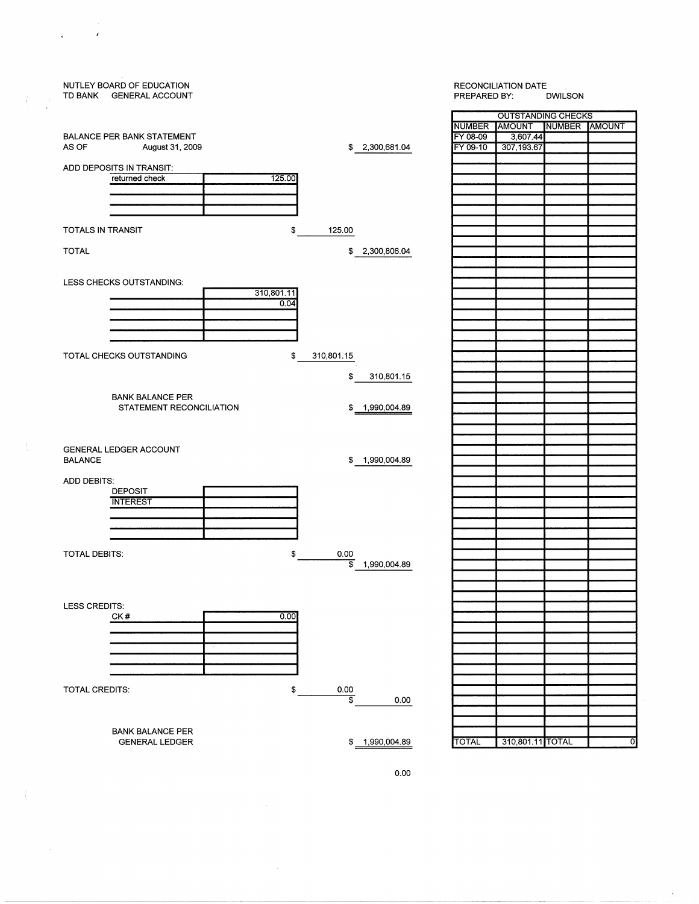| NUTLEY BOARD OF EDUCATION<br>TD BANK GENERAL ACCOUNT | <b>RECONCILIATION DATE</b><br>PREPARED BY:<br><b>DWILSON</b> |              |                             |                |
|------------------------------------------------------|--------------------------------------------------------------|--------------|-----------------------------|----------------|
|                                                      |                                                              |              | <b>OUTSTANDING CHECKS</b>   |                |
|                                                      |                                                              |              | NUMBER AMOUNT NUMBER AMOUNT |                |
| <b>BALANCE PER BANK STATEMENT</b>                    |                                                              | FY 08-09     | 3,607.44                    |                |
| AS OF<br>August 31, 2009                             | \$ 2,300,681.04                                              | FY 09-10     | 307,193.67                  |                |
|                                                      |                                                              |              |                             |                |
| ADD DEPOSITS IN TRANSIT:                             |                                                              |              |                             |                |
| 125.00<br>returned check                             |                                                              |              |                             |                |
|                                                      |                                                              |              |                             |                |
|                                                      |                                                              |              |                             |                |
|                                                      |                                                              |              |                             |                |
| TOTALS IN TRANSIT<br>\$                              |                                                              |              |                             |                |
|                                                      | 125.00                                                       |              |                             |                |
| <b>TOTAL</b>                                         | 2,300,806.04<br>\$                                           |              |                             |                |
|                                                      |                                                              |              |                             |                |
|                                                      |                                                              |              |                             |                |
| LESS CHECKS OUTSTANDING:                             |                                                              |              |                             |                |
| 310,801.11                                           |                                                              |              |                             |                |
| 0.04                                                 |                                                              |              |                             |                |
|                                                      |                                                              |              |                             |                |
|                                                      |                                                              |              |                             |                |
|                                                      |                                                              |              |                             |                |
|                                                      |                                                              |              |                             |                |
| \$<br>TOTAL CHECKS OUTSTANDING                       | 310,801.15                                                   |              |                             |                |
|                                                      |                                                              |              |                             |                |
|                                                      | \$<br>310,801.15                                             |              |                             |                |
|                                                      |                                                              |              |                             |                |
| <b>BANK BALANCE PER</b>                              |                                                              |              |                             |                |
| STATEMENT RECONCILIATION                             | 1,990,004.89<br>\$                                           |              |                             |                |
|                                                      |                                                              |              |                             |                |
|                                                      |                                                              |              |                             |                |
| GENERAL LEDGER ACCOUNT                               |                                                              |              |                             |                |
| <b>BALANCE</b>                                       | \$1,990,004.89                                               |              |                             |                |
|                                                      |                                                              |              |                             |                |
| ADD DEBITS:                                          |                                                              |              |                             |                |
| <b>DEPOSIT</b>                                       |                                                              |              |                             |                |
| <b>INTEREST</b>                                      |                                                              |              |                             |                |
|                                                      |                                                              |              |                             |                |
|                                                      |                                                              |              |                             |                |
|                                                      |                                                              |              |                             |                |
|                                                      |                                                              |              |                             |                |
| <b>TOTAL DEBITS:</b><br>\$                           | 0.00                                                         |              |                             |                |
|                                                      | \$<br>1,990,004.89                                           |              |                             |                |
|                                                      |                                                              |              |                             |                |
|                                                      |                                                              |              |                             |                |
| LESS CREDITS:                                        |                                                              |              |                             |                |
| CK#<br>0.00                                          |                                                              |              |                             |                |
|                                                      |                                                              |              |                             |                |
|                                                      |                                                              |              |                             |                |
|                                                      |                                                              |              |                             |                |
|                                                      |                                                              |              |                             |                |
|                                                      |                                                              |              |                             |                |
|                                                      |                                                              |              |                             |                |
| <b>TOTAL CREDITS:</b><br>\$                          | 0.00                                                         |              |                             |                |
|                                                      | $\overline{\boldsymbol{\mathfrak{s}}}$<br>0.00               |              |                             |                |
|                                                      |                                                              |              |                             |                |
|                                                      |                                                              |              |                             |                |
| <b>BANK BALANCE PER</b>                              |                                                              |              |                             |                |
| <b>GENERAL LEDGER</b>                                | \$ 1,990,004.89                                              | <b>TOTAL</b> | 310,801.11 TOTAL            | $\overline{0}$ |
|                                                      |                                                              |              |                             |                |

 $\mathbf{r}$ 

 $\frac{1}{2}$ √,

 $\mathcal{L}$ 

 $\langle$ 



 $\bar{\mathbf{x}}$ 

 $\bar{\beta}$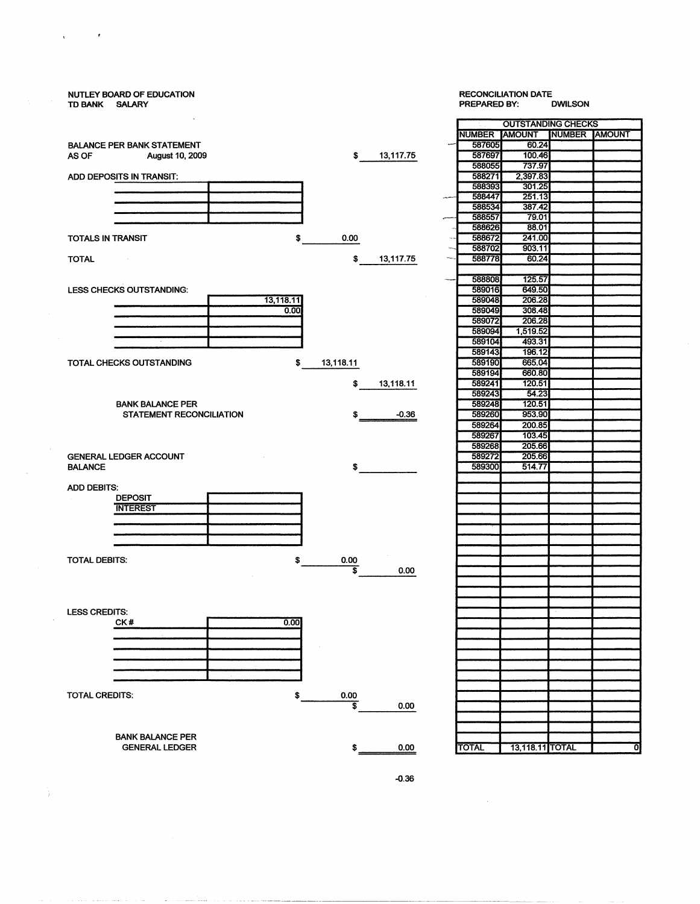### NUTLEY BOARD OF EDUCATION RECONCILIATION DATE TD BANK SALARY OUTSTANDING CHECKS NUMBER AMOUNT NUMBER AMOUNT BALANCE PER BANK STATEMENT<br>
AS OF August 10, 2009 587697 100.46 AS OF August 10, 2009 **\$13,117.75** 587697 100.46<br>588055 737.97 588055 737.97 ADD DEPOSITS IN TRANSIT: 588271 2,397.83<br>
588393 301.25<br>
588393 301.25 588393 301.25<br>588447 251.13 588447 251.13<br>588534 387.42 588534 387.42<br>588557 79.01 ~ 588557 79.01 588626 88.01<br>588672 241.00 TOTALS IN TRANSIT **\$** 0.00 0.00 588672 241.00<br>588702 903.11 588702 903.11<br>588778 60.24 TOTAL 60.24 588808 125.57<br>589016 649.50 LESS CHECKS OUTSTANDING:<br>
<u>Alternative and the set of the set of the set of the set of the set of the set of the set of the set of the set of the set of the set of the set of the set of the set of the set of the set of the</u> 589049 308.48 589072<br>589094 589104 493.31<br>589143 196.12 589143 196.12 TOTAL CHECKS OUTSTANDING  $$ 13,118.11$  589190 665.04<br>589194 660.80 589194 660.80<br>589241 120.51  $$ 13,118.11$  589241 589243 54.23 **BANK BALANCE PER** 589248 120.51<br>
STATEMENT RECONCILIATION \$  $\begin{array}{|c|c|c|c|c|c|c|} \hline & & & & 589248 & & 120.51 \\ \hline \end{array}$ STATEMENT RECONCILIATION \$ 589264 200.85<br>589267 103.45 589267 103.45<br>589268 205.66 589268 205.66 GENERAL LEDGER ACCOUNT **589272 205.66**<br>BALANCE 589300 514.77 BALANCE \$ 589300 514.77 ADD DEBITS: DEPOSIT **INTEREST** TOTAL DEBITS: \$ 0.00 0.00 LESS CREDITS:  $0.00$ CK# =<br>-<br>-<br>-TOTAL CREDITS: \$ 0.00  $\overline{\$}$  0.00 BANK BALANCE PER GENERAL LEDGER \$ 0.00 TOTAL 13,118.11 TOTAL 0

 $\mathcal{L}$ 

 $\mathbf{r}$ 

Ĵ.

1,519.52<br>493.31

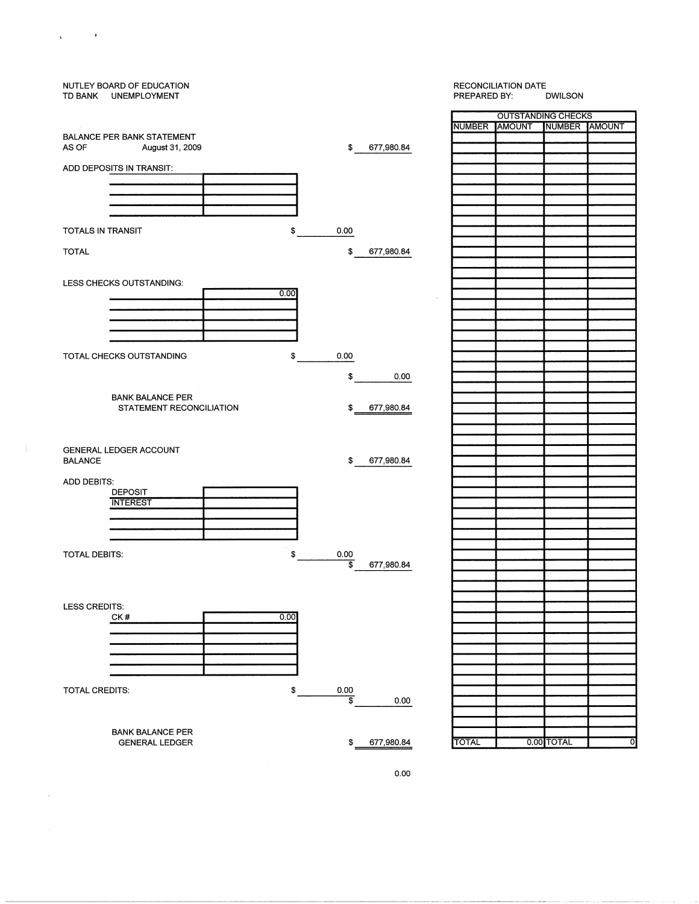

 $\sim 100$ 

 $\mathbf{v}$ 

 $\hat{\mathbf{r}}$ 

0.00

---------------------------------------------~- -------··--- ----~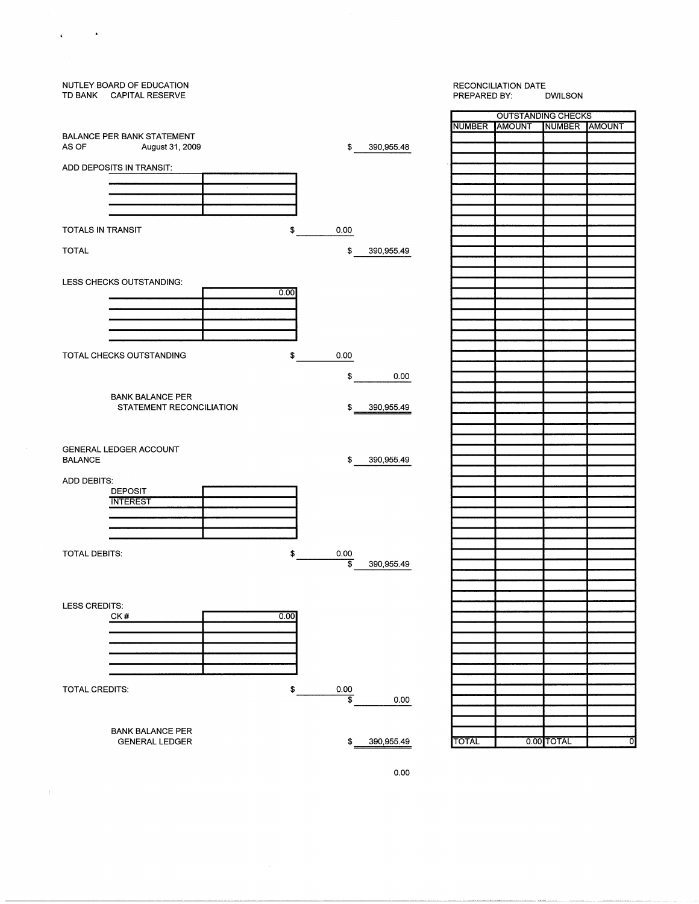## NUTLEY BOARD OF EDUCATION TD BANK CAPITAL RESERVE BALANCE PER BANK STATEMENT AS OF August 31, 2009 \$ 390,955.48 ADD DEPOSITS IN TRANSIT:  $\infty$ TOTALS IN TRANSIT 0.00 \$ 390,955.49 TOTAL LESS CHECKS OUTSTANDING:  $\Box$ TOTAL CHECKS OUTSTANDING \$ 0.00 \$ 0.00 BANK BALANCE PER STATEMENT RECONCILIATION \$ 390,955.49 GENERAL LEDGER ACCOUNT BALANCE \$ 390,955.49 ADD DEBITS· DEPOSIT **INTEREST** TOTAL DEBITS: \$  $rac{0.00}{9}$ 390,955.49 LESS CREDITS: CK#  $0.00$ <u>000</u> TOTAL CREDITS: \$ 0.00  $\frac{1}{2}$  0.00 BANK BALANCE PER GENERAL LEDGER \$ 390,955.49 TOTAL 0.00 TOTAL 0

 $\mathcal{L}^{\text{max}}_{\text{max}}$  ,  $\mathbf{A}^{\text{max}}_{\text{max}}$ 

 $\mathbf{v}$ 

 $\,$   $\,$ 

# RECONCILIATION DATE<br>PREPARED BY: DWILSON PREPARED BY: OUTSTANDING CHECKS NUMBER AMOUNT NUMBER AMOUNT

0.00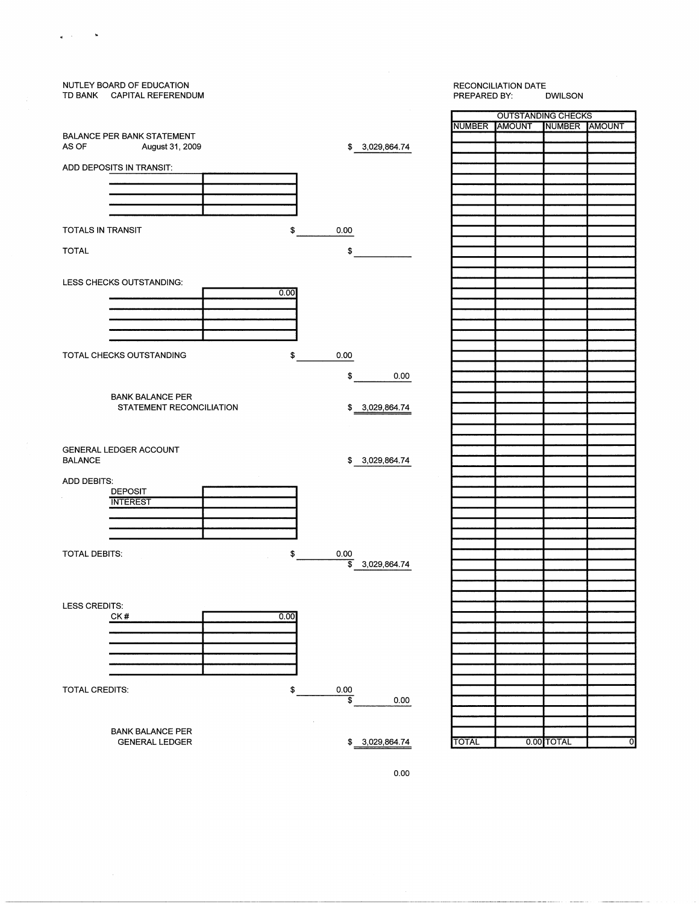

 $\alpha$  .  $\sim$   $\sim$ 

 $\epsilon$ 

0.00